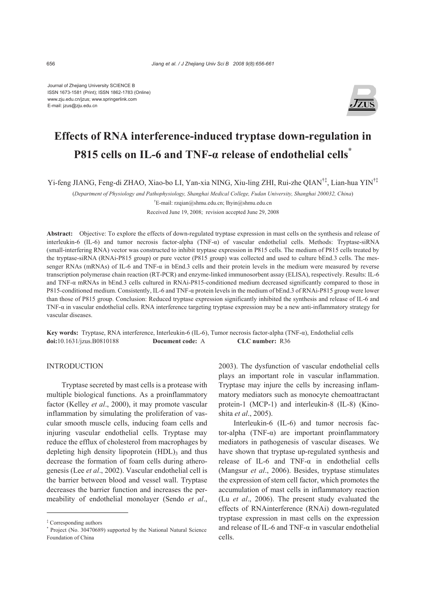Journal of Zhejiang University SCIENCE B ISSN 1673-1581 (Print); ISSN 1862-1783 (Online) www.zju.edu.cn/jzus; www.springerlink.com E-mail: jzus@zju.edu.cn



# **Effects of RNA interference-induced tryptase down-regulation in P815 cells on IL-6 and TNF-α release of endothelial cells\***

Yi-feng JIANG, Feng-di ZHAO, Xiao-bo LI, Yan-xia NING, Xiu-ling ZHI, Rui-zhe QIAN†‡, Lian-hua YIN†‡

(*Department of Physiology and Pathophysiology, Shanghai Medical College, Fudan University, Shanghai 200032, China*)

† E-mail: rzqian@shmu.edu.cn; lhyin@shmu.edu.cn

Received June 19, 2008; revision accepted June 29, 2008

**Abstract:** Objective: To explore the effects of down-regulated tryptase expression in mast cells on the synthesis and release of interleukin-6 (IL-6) and tumor necrosis factor-alpha (TNF-α) of vascular endothelial cells. Methods: Tryptase-siRNA (small-interfering RNA) vector was constructed to inhibit tryptase expression in P815 cells. The medium of P815 cells treated by the tryptase-siRNA (RNAi-P815 group) or pure vector (P815 group) was collected and used to culture bEnd.3 cells. The messenger RNAs (mRNAs) of IL-6 and TNF-α in bEnd.3 cells and their protein levels in the medium were measured by reverse transcription polymerase chain reaction (RT-PCR) and enzyme-linked immunosorbent assay (ELISA), respectively. Results: IL-6 and TNF-α mRNAs in bEnd.3 cells cultured in RNAi-P815-conditioned medium decreased significantly compared to those in P815-conditioned medium. Consistently, IL-6 and TNF-α protein levels in the medium of bEnd.3 of RNAi-P815 group were lower than those of P815 group. Conclusion: Reduced tryptase expression significantly inhibited the synthesis and release of IL-6 and TNF-α in vascular endothelial cells. RNA interference targeting tryptase expression may be a new anti-inflammatory strategy for vascular diseases.

**Key words:** Tryptase, RNA interference, Interleukin-6 (IL-6), Tumor necrosis factor-alpha (TNF-α), Endothelial cells **doi:**10.1631/jzus.B0810188 **Document code:** A **CLC number:** R36

# **INTRODUCTION**

Tryptase secreted by mast cells is a protease with multiple biological functions. As a proinflammatory factor (Kelley *et al*., 2000), it may promote vascular inflammation by simulating the proliferation of vascular smooth muscle cells, inducing foam cells and injuring vascular endothelial cells. Tryptase may reduce the efflux of cholesterol from macrophages by depleting high density lipoprotein  $(HDL)$ <sub>3</sub> and thus decrease the formation of foam cells during atherogenesis (Lee *et al*., 2002). Vascular endothelial cell is the barrier between blood and vessel wall. Tryptase decreases the barrier function and increases the permeability of endothelial monolayer (Sendo *et al*.,

2003). The dysfunction of vascular endothelial cells plays an important role in vascular inflammation. Tryptase may injure the cells by increasing inflammatory mediators such as monocyte chemoattractant protein-1 (MCP-1) and interleukin-8 (IL-8) (Kinoshita *et al*., 2005).

Interleukin-6 (IL-6) and tumor necrosis factor-alpha (TNF-α) are important proinflammatory mediators in pathogenesis of vascular diseases. We have shown that tryptase up-regulated synthesis and release of IL-6 and TNF- $\alpha$  in endothelial cells (Mangsur *et al*., 2006). Besides, tryptase stimulates the expression of stem cell factor, which promotes the accumulation of mast cells in inflammatory reaction (Lu *et al*., 2006). The present study evaluated the effects of RNAinterference (RNAi) down-regulated tryptase expression in mast cells on the expression and release of IL-6 and TNF- $\alpha$  in vascular endothelial cells.

<sup>‡</sup> Corresponding authors

<sup>\*</sup> Project (No. 30470689) supported by the National Natural Science Foundation of China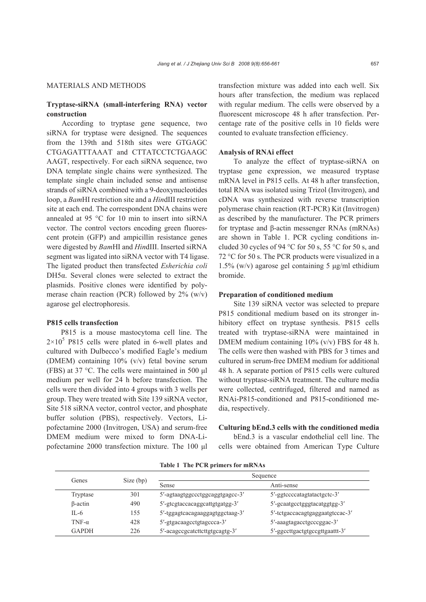# MATERIALS AND METHODS

# **Tryptase-siRNA (small-interfering RNA) vector construction**

According to tryptase gene sequence, two siRNA for tryptase were designed. The sequences from the 139th and 518th sites were GTGAGC CTGAGATTTAAAT and CTTATCCTCTGAAGC AAGT, respectively. For each siRNA sequence, two DNA template single chains were synthesized. The template single chain included sense and antisense strands of siRNA combined with a 9-deoxynucleotides loop, a *Bam*HI restriction site and a *Hin*dIII restriction site at each end. The correspondent DNA chains were annealed at 95 °C for 10 min to insert into siRNA vector. The control vectors encoding green fluorescent protein (GFP) and ampicillin resistance genes were digested by *Bam*HI and *Hin*dIII. Inserted siRNA segment was ligated into siRNA vector with T4 ligase. The ligated product then transfected *Esherichia coli* DH5α. Several clones were selected to extract the plasmids. Positive clones were identified by polymerase chain reaction (PCR) followed by  $2\%$  (w/v) agarose gel electrophoresis.

#### **P815 cells transfection**

P815 is a mouse mastocytoma cell line. The  $2 \times 10^5$  P815 cells were plated in 6-well plates and cultured with Dulbecco's modified Eagle's medium (DMEM) containing 10% (v/v) fetal bovine serum (FBS) at 37 °C. The cells were maintained in 500 μl medium per well for 24 h before transfection. The cells were then divided into 4 groups with 3 wells per group. They were treated with Site 139 siRNA vector, Site 518 siRNA vector, control vector, and phosphate buffer solution (PBS), respectively. Vectors, Lipofectamine 2000 (Invitrogen, USA) and serum-free DMEM medium were mixed to form DNA-Lipofectamine 2000 transfection mixture. The 100 μl

transfection mixture was added into each well. Six hours after transfection, the medium was replaced with regular medium. The cells were observed by a fluorescent microscope 48 h after transfection. Percentage rate of the positive cells in 10 fields were counted to evaluate transfection efficiency.

#### **Analysis of RNAi effect**

To analyze the effect of tryptase-siRNA on tryptase gene expression, we measured tryptase mRNA level in P815 cells. At 48 h after transfection, total RNA was isolated using Trizol (Invitrogen), and cDNA was synthesized with reverse transcription polymerase chain reaction (RT-PCR) Kit (Invitrogen) as described by the manufacturer. The PCR primers for tryptase and β-actin messenger RNAs (mRNAs) are shown in Table 1. PCR cycling conditions included 30 cycles of 94  $\degree$ C for 50 s, 55  $\degree$ C for 50 s, and 72 °C for 50 s. The PCR products were visualized in a 1.5% (w/v) agarose gel containing 5 μg/ml ethidium bromide.

#### **Preparation of conditioned medium**

Site 139 siRNA vector was selected to prepare P815 conditional medium based on its stronger inhibitory effect on tryptase synthesis. P815 cells treated with tryptase-siRNA were maintained in DMEM medium containing 10% (v/v) FBS for 48 h. The cells were then washed with PBS for 3 times and cultured in serum-free DMEM medium for additional 48 h. A separate portion of P815 cells were cultured without tryptase-siRNA treatment. The culture media were collected, centrifuged, filtered and named as RNAi-P815-conditioned and P815-conditioned media, respectively.

#### **Culturing bEnd.3 cells with the conditioned media**

bEnd.3 is a vascular endothelial cell line. The cells were obtained from American Type Culture

| Genes          | Size (bp) | Sequence                        |                                 |
|----------------|-----------|---------------------------------|---------------------------------|
|                |           | <b>Sense</b>                    | Anti-sense                      |
| Tryptase       | 301       | 5'-agtaagtggccctggcaggtgagcc-3' | 5'-ggtccccatagtatactgctc-3'     |
| $\beta$ -actin | 490       | 5'-gtcgtaccacaggcattgtgatgg-3'  | 5'-gcaatgcctgggtacatggtgg-3'    |
| $IL-6$         | 155       | 5'-tggagtcacagaaggagtggctaag-3' | 5'-tetgaccacagtgaggaatgtccac-3' |
| TNF- $\alpha$  | 428       | 5'-gtgacaagcctgtagccca-3'       | 5'-aaagtagacctgcccggac-3'       |
| <b>GAPDH</b>   | 226       | 5'-acagccgcatettettgtgcagtg-3'  | 5'-ggccttgactgtgccgttgaattt-3'  |

**Table 1 The PCR primers for mRNAs**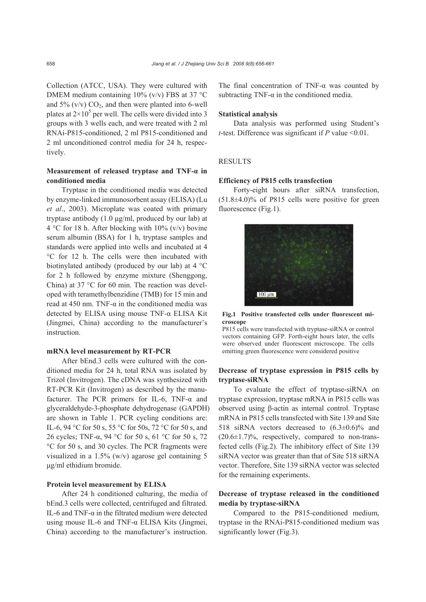Collection (ATCC, USA). They were cultured with DMEM medium containing 10% (v/v) FBS at 37 °C and 5%  $(v/v) CO<sub>2</sub>$ , and then were planted into 6-well plates at  $2 \times 10^5$  per well. The cells were divided into 3 groups with 3 wells each, and were treated with 2 ml RNAi-P815-conditioned, 2 ml P815-conditioned and 2 ml unconditioned control media for 24 h, respectively.

# **Measurement of released tryptase and TNF-α in conditioned media**

Tryptase in the conditioned media was detected by enzyme-linked immunosorbent assay (ELISA) (Lu *et al*., 2003). Microplate was coated with primary tryptase antibody (1.0 μg/ml, produced by our lab) at 4 °C for 18 h. After blocking with 10% ( $v/v$ ) bovine serum albumin (BSA) for 1 h, tryptase samples and standards were applied into wells and incubated at 4 °C for 12 h. The cells were then incubated with biotinylated antibody (produced by our lab) at 4 °C for 2 h followed by enzyme mixture (Shenggong, China) at 37 °C for 60 min. The reaction was developed with teramethylbenzidine (TMB) for 15 min and read at 450 nm. TNF- $α$  in the conditioned media was detected by ELISA using mouse TNF-α ELISA Kit (Jingmei, China) according to the manufacturer's instruction.

# **mRNA level measurement by RT-PCR**

After bEnd.3 cells were cultured with the conditioned media for 24 h, total RNA was isolated by Trizol (Invitrogen). The cDNA was synthesized with RT-PCR Kit (Invitrogen) as described by the manufacturer. The PCR primers for IL-6, TNF-α and glyceraldehyde-3-phosphate dehydrogenase (GAPDH) are shown in Table 1. PCR cycling conditions are: IL-6, 94 °C for 50 s, 55 °C for 50s, 72 °C for 50 s, and 26 cycles; TNF-α, 94 °C for 50 s, 61 °C for 50 s, 72 °C for 50 s, and 30 cycles. The PCR fragments were visualized in a 1.5% (w/v) agarose gel containing 5 μg/ml ethidium bromide.

#### **Protein level measurement by ELISA**

After 24 h conditioned culturing, the media of bEnd.3 cells were collected, centrifuged and filtrated. IL-6 and TNF- $\alpha$  in the filtrated medium were detected using mouse IL-6 and TNF-α ELISA Kits (Jingmei, China) according to the manufacturer's instruction. The final concentration of TNF- $\alpha$  was counted by subtracting TNF- $\alpha$  in the conditioned media.

#### **Statistical analysis**

Data analysis was performed using Student's *t*-test. Difference was significant if *P* value <0.01.

# **RESULTS**

#### **Efficiency of P815 cells transfection**

Forty-eight hours after siRNA transfection, (51.8±4.0)% of P815 cells were positive for green fluorescence (Fig.1).



**Fig.1 Positive transfected cells under fluorescent microscope** 

P815 cells were transfected with tryptase-siRNA or control vectors containing GFP. Forth-eight hours later, the cells were observed under fluorescent microscope. The cells emitting green fluorescence were considered positive

## **Decrease of tryptase expression in P815 cells by tryptase-siRNA**

To evaluate the effect of tryptase-siRNA on tryptase expression, tryptase mRNA in P815 cells was observed using β-actin as internal control. Tryptase mRNA in P815 cells transfected with Site 139 and Site 518 siRNA vectors decreased to (6.3±0.6)% and  $(20.6\pm1.7)\%$ , respectively, compared to non-transfected cells (Fig.2). The inhibitory effect of Site 139 siRNA vector was greater than that of Site 518 siRNA vector. Therefore, Site 139 siRNA vector was selected for the remaining experiments.

# **Decrease of tryptase released in the conditioned media by tryptase-siRNA**

Compared to the P815-conditioned medium, tryptase in the RNAi-P815-conditioned medium was significantly lower (Fig.3).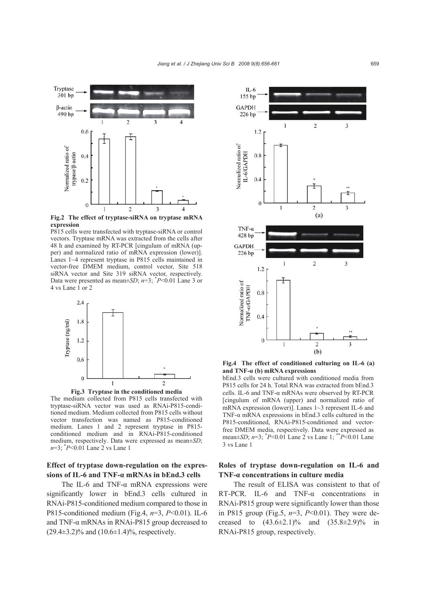

**Fig.2 The effect of tryptase-siRNA on tryptase mRNA expression** 

P815 cells were transfected with tryptase-siRNA or control vectors. Tryptase mRNA was extracted from the cells after 48 h and examined by RT-PCR [cingulum of mRNA (upper) and normalized ratio of mRNA expression (lower)]. Lanes 1~4 represent tryptase in P815 cells maintained in vector-free DMEM medium, control vector, Site 518 siRNA vector and Site 319 siRNA vector, respectively. Data were presented as mean $\pm SD$ ;  $n=3$ ;  $\degree P$  < 0.01 Lane 3 or 4 vs Lane 1 or 2



**Fig.3 Tryptase in the conditioned media** The medium collected from P815 cells transfected with tryptase-siRNA vector was used as RNAi-P815-conditioned medium. Medium collected from P815 cells without vector transfection was named as P815-conditioned medium. Lanes 1 and 2 represent tryptase in P815 conditioned medium and in RNAi-P815-conditioned medium, respectively. Data were expressed as mean±*SD*; *n*=3; \* *P*<0.01 Lane 2 vs Lane 1

# **Effect of tryptase down-regulation on the expressions of IL-6 and TNF-α mRNAs in bEnd.3 cells**

The IL-6 and TNF- $\alpha$  mRNA expressions were significantly lower in bEnd.3 cells cultured in RNAi-P815-conditioned medium compared to those in P815-conditioned medium (Fig.4, *n*=3, *P*<0.01). IL-6 and TNF-α mRNAs in RNAi-P815 group decreased to  $(29.4\pm3.2)\%$  and  $(10.6\pm1.4)\%$ , respectively.



**Fig.4 The effect of conditioned culturing on IL-6 (a) and TNF-α (b) mRNA expressions** 

bEnd.3 cells were cultured with conditioned media from P815 cells for 24 h. Total RNA was extracted from bEnd.3 cells. IL-6 and TNF-α mRNAs were observed by RT-PCR [cingulum of mRNA (upper) and normalized ratio of mRNA expression (lower)]. Lanes 1~3 represent IL-6 and TNF-α mRNA expressions in bEnd.3 cells cultured in the P815-conditioned, RNAi-P815-conditioned and vectorfree DMEM media, respectively. Data were expressed as mean±*SD*; *n*=3; \* *P*<0.01 Lane 2 vs Lane 1; \*\**P*<0.01 Lane 3 vs Lane 1

# **Roles of tryptase down-regulation on IL-6 and TNF-α concentrations in culture media**

The result of ELISA was consistent to that of RT-PCR. IL-6 and TNF-α concentrations in RNAi-P815 group were significantly lower than those in P815 group (Fig.5, *n*=3, *P*<0.01). They were decreased to  $(43.6\pm2.1)\%$  and  $(35.8\pm2.9)\%$  in RNAi-P815 group, respectively.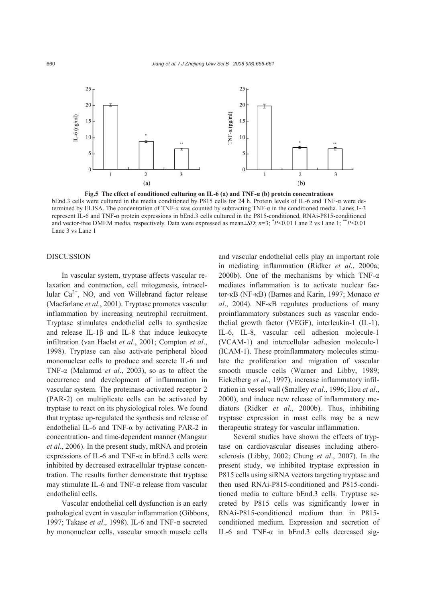

**Fig.5 The effect of conditioned culturing on IL-6 (a) and TNF-α (b) protein concentrations**  bEnd.3 cells were cultured in the media conditioned by P815 cells for 24 h. Protein levels of IL-6 and TNF-α were determined by ELISA. The concentration of TNF-α was counted by subtracting TNF-α in the conditioned media. Lanes 1~3 represent IL-6 and TNF-α protein expressions in bEnd.3 cells cultured in the P815-conditioned, RNAi-P815-conditioned and vector-free DMEM media, respectively. Data were expressed as mean±*SD*; *n*=3; \* *P*<0.01 Lane 2 vs Lane 1; \*\**P*<0.01 Lane 3 vs Lane 1

#### DISCUSSION

In vascular system, tryptase affects vascular relaxation and contraction, cell mitogenesis, intracellular  $Ca^{2+}$ , NO, and von Willebrand factor release (Macfarlane *et al*., 2001). Tryptase promotes vascular inflammation by increasing neutrophil recruitment. Tryptase stimulates endothelial cells to synthesize and release IL-1 $\beta$  and IL-8 that induce leukocyte infiltration (van Haelst *et al*., 2001; Compton *et al*., 1998). Tryptase can also activate peripheral blood mononuclear cells to produce and secrete IL-6 and TNF-α (Malamud *et al*., 2003), so as to affect the occurrence and development of inflammation in vascular system. The proteinase-activated receptor 2 (PAR-2) on multiplicate cells can be activated by tryptase to react on its physiological roles. We found that tryptase up-regulated the synthesis and release of endothelial IL-6 and TNF-α by activating PAR-2 in concentration- and time-dependent manner (Mangsur *et al*., 2006). In the present study, mRNA and protein expressions of IL-6 and TNF- $\alpha$  in bEnd.3 cells were inhibited by decreased extracellular tryptase concentration. The results further demonstrate that tryptase may stimulate IL-6 and TNF-α release from vascular endothelial cells.

Vascular endothelial cell dysfunction is an early pathological event in vascular inflammation (Gibbons, 1997; Takase *et al*., 1998). IL-6 and TNF-α secreted by mononuclear cells, vascular smooth muscle cells

and vascular endothelial cells play an important role in mediating inflammation (Ridker *et al*., 2000a; 2000b). One of the mechanisms by which TNF- $\alpha$ mediates inflammation is to activate nuclear factor-κB (NF-κB) (Barnes and Karin, 1997; Monaco *et al*., 2004). NF-κB regulates productions of many proinflammatory substances such as vascular endothelial growth factor (VEGF), interleukin-1 (IL-1), IL-6, IL-8, vascular cell adhesion molecule-1 (VCAM-1) and intercellular adhesion molecule-1 (ICAM-1). These proinflammatory molecules stimulate the proliferation and migration of vascular smooth muscle cells (Warner and Libby, 1989; Eickelberg *et al*., 1997), increase inflammatory infiltration in vessel wall (Smalley *et al*., 1996; Hou *et al*., 2000), and induce new release of inflammatory mediators (Ridker *et al*., 2000b). Thus, inhibiting tryptase expression in mast cells may be a new therapeutic strategy for vascular inflammation.

Several studies have shown the effects of tryptase on cardiovascular diseases including atherosclerosis (Libby, 2002; Chung *et al*., 2007). In the present study, we inhibited tryptase expression in P815 cells using siRNA vectors targeting tryptase and then used RNAi-P815-conditioned and P815-conditioned media to culture bEnd.3 cells. Tryptase secreted by P815 cells was significantly lower in RNAi-P815-conditioned medium than in P815 conditioned medium. Expression and secretion of IL-6 and TNF-α in bEnd.3 cells decreased sig